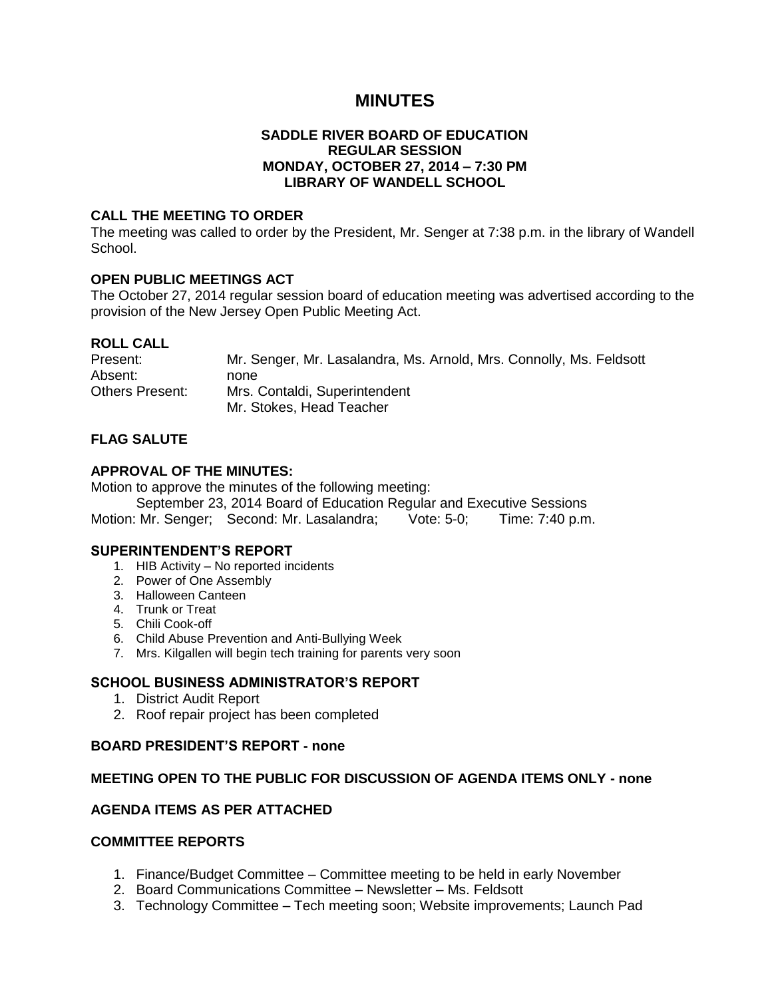# **MINUTES**

#### **SADDLE RIVER BOARD OF EDUCATION REGULAR SESSION MONDAY, OCTOBER 27, 2014 – 7:30 PM LIBRARY OF WANDELL SCHOOL**

#### **CALL THE MEETING TO ORDER**

The meeting was called to order by the President, Mr. Senger at 7:38 p.m. in the library of Wandell School.

#### **OPEN PUBLIC MEETINGS ACT**

The October 27, 2014 regular session board of education meeting was advertised according to the provision of the New Jersey Open Public Meeting Act.

#### **ROLL CALL**

| Present:        | Mr. Senger, Mr. Lasalandra, Ms. Arnold, Mrs. Connolly, Ms. Feldsott |
|-----------------|---------------------------------------------------------------------|
| Absent:         | none.                                                               |
| Others Present: | Mrs. Contaldi, Superintendent                                       |
|                 | Mr. Stokes, Head Teacher                                            |

## **FLAG SALUTE**

## **APPROVAL OF THE MINUTES:**

Motion to approve the minutes of the following meeting:

September 23, 2014 Board of Education Regular and Executive Sessions Motion: Mr. Senger; Second: Mr. Lasalandra; Vote: 5-0; Time: 7:40 p.m.

#### **SUPERINTENDENT'S REPORT**

- 1. HIB Activity No reported incidents
- 2. Power of One Assembly
- 3. Halloween Canteen
- 4. Trunk or Treat
- 5. Chili Cook-off
- 6. Child Abuse Prevention and Anti-Bullying Week
- 7. Mrs. Kilgallen will begin tech training for parents very soon

#### **SCHOOL BUSINESS ADMINISTRATOR'S REPORT**

- 1. District Audit Report
- 2. Roof repair project has been completed

#### **BOARD PRESIDENT'S REPORT - none**

#### **MEETING OPEN TO THE PUBLIC FOR DISCUSSION OF AGENDA ITEMS ONLY - none**

#### **AGENDA ITEMS AS PER ATTACHED**

#### **COMMITTEE REPORTS**

- 1. Finance/Budget Committee Committee meeting to be held in early November
- 2. Board Communications Committee Newsletter Ms. Feldsott
- 3. Technology Committee Tech meeting soon; Website improvements; Launch Pad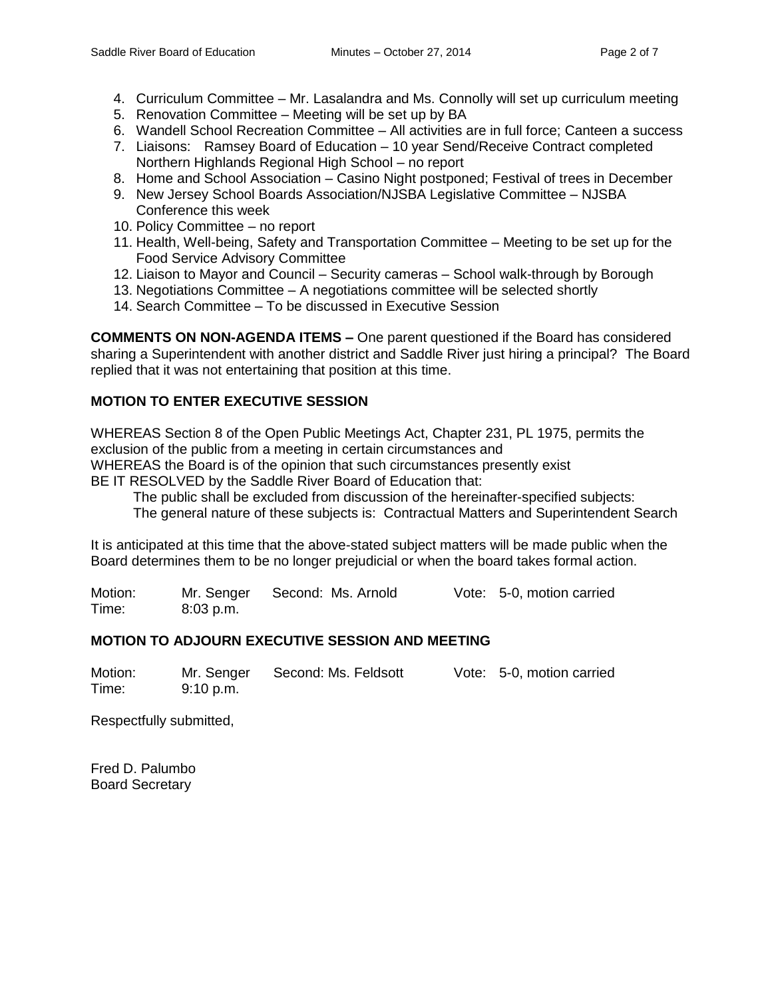- 4. Curriculum Committee Mr. Lasalandra and Ms. Connolly will set up curriculum meeting
- 5. Renovation Committee Meeting will be set up by BA
- 6. Wandell School Recreation Committee All activities are in full force; Canteen a success
- 7. Liaisons: Ramsey Board of Education 10 year Send/Receive Contract completed Northern Highlands Regional High School – no report
- 8. Home and School Association Casino Night postponed; Festival of trees in December
- 9. New Jersey School Boards Association/NJSBA Legislative Committee NJSBA Conference this week
- 10. Policy Committee no report
- 11. Health, Well-being, Safety and Transportation Committee Meeting to be set up for the Food Service Advisory Committee
- 12. Liaison to Mayor and Council Security cameras School walk-through by Borough
- 13. Negotiations Committee A negotiations committee will be selected shortly
- 14. Search Committee To be discussed in Executive Session

**COMMENTS ON NON-AGENDA ITEMS –** One parent questioned if the Board has considered sharing a Superintendent with another district and Saddle River just hiring a principal? The Board replied that it was not entertaining that position at this time.

# **MOTION TO ENTER EXECUTIVE SESSION**

WHEREAS Section 8 of the Open Public Meetings Act, Chapter 231, PL 1975, permits the exclusion of the public from a meeting in certain circumstances and WHEREAS the Board is of the opinion that such circumstances presently exist BE IT RESOLVED by the Saddle River Board of Education that:

 The public shall be excluded from discussion of the hereinafter-specified subjects: The general nature of these subjects is: Contractual Matters and Superintendent Search

It is anticipated at this time that the above-stated subject matters will be made public when the Board determines them to be no longer prejudicial or when the board takes formal action.

Motion: Mr. Senger Second: Ms. Arnold Vote: 5-0, motion carried Time: 8:03 p.m.

# **MOTION TO ADJOURN EXECUTIVE SESSION AND MEETING**

| Motion: | Mr. Senger | Second: Ms. Feldsott | Vote: 5-0, motion carried |
|---------|------------|----------------------|---------------------------|
| Time:   | 9:10 p.m.  |                      |                           |

Respectfully submitted,

Fred D. Palumbo Board Secretary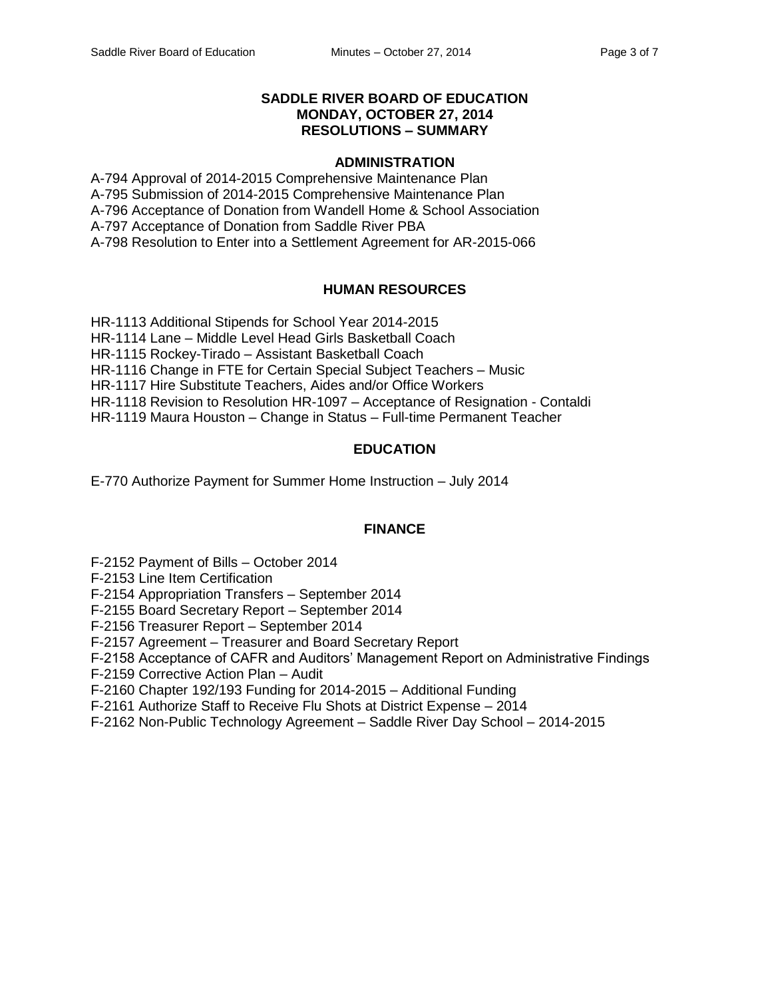## **SADDLE RIVER BOARD OF EDUCATION MONDAY, OCTOBER 27, 2014 RESOLUTIONS – SUMMARY**

#### **ADMINISTRATION**

A-794 Approval of 2014-2015 Comprehensive Maintenance Plan A-795 Submission of 2014-2015 Comprehensive Maintenance Plan A-796 Acceptance of Donation from Wandell Home & School Association A-797 Acceptance of Donation from Saddle River PBA A-798 Resolution to Enter into a Settlement Agreement for AR-2015-066

# **HUMAN RESOURCES**

HR-1113 Additional Stipends for School Year 2014-2015 HR-1114 Lane – Middle Level Head Girls Basketball Coach HR-1115 Rockey-Tirado – Assistant Basketball Coach HR-1116 Change in FTE for Certain Special Subject Teachers – Music HR-1117 Hire Substitute Teachers, Aides and/or Office Workers HR-1118 Revision to Resolution HR-1097 – Acceptance of Resignation - Contaldi HR-1119 Maura Houston – Change in Status – Full-time Permanent Teacher

# **EDUCATION**

E-770 Authorize Payment for Summer Home Instruction – July 2014

# **FINANCE**

F-2152 Payment of Bills – October 2014

F-2153 Line Item Certification

F-2154 Appropriation Transfers – September 2014

F-2155 Board Secretary Report – September 2014

F-2156 Treasurer Report – September 2014

F-2157 Agreement – Treasurer and Board Secretary Report

F-2158 Acceptance of CAFR and Auditors' Management Report on Administrative Findings

F-2159 Corrective Action Plan – Audit

F-2160 Chapter 192/193 Funding for 2014-2015 – Additional Funding

F-2161 Authorize Staff to Receive Flu Shots at District Expense – 2014

F-2162 Non-Public Technology Agreement – Saddle River Day School – 2014-2015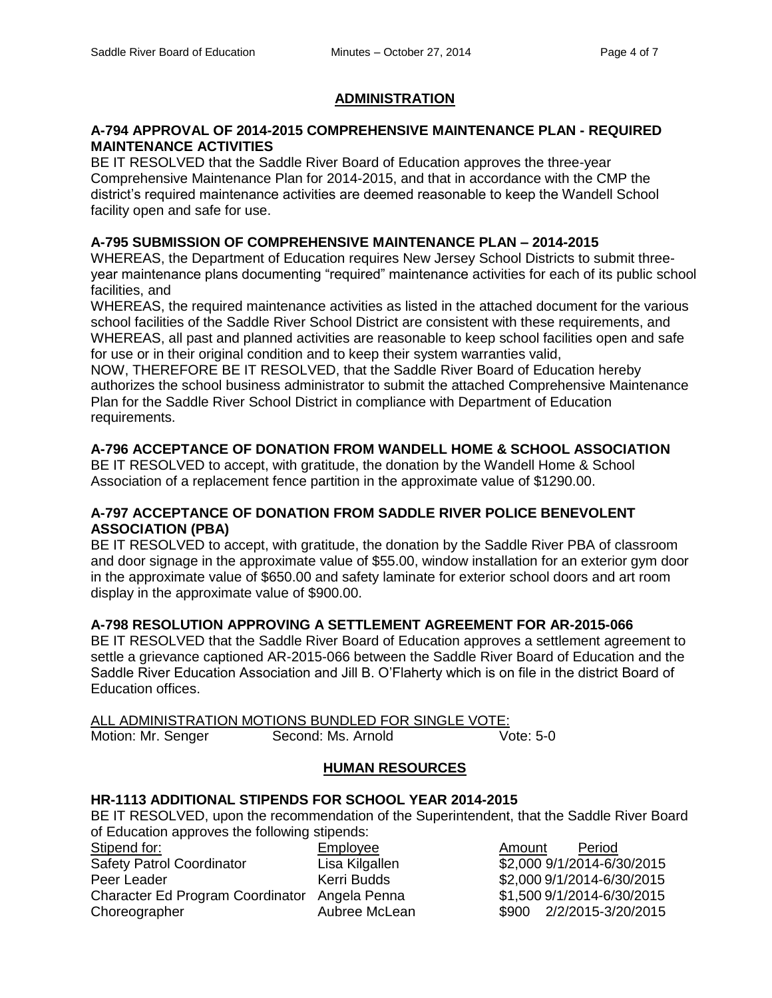## **ADMINISTRATION**

## **A-794 APPROVAL OF 2014-2015 COMPREHENSIVE MAINTENANCE PLAN - REQUIRED MAINTENANCE ACTIVITIES**

BE IT RESOLVED that the Saddle River Board of Education approves the three-year Comprehensive Maintenance Plan for 2014-2015, and that in accordance with the CMP the district's required maintenance activities are deemed reasonable to keep the Wandell School facility open and safe for use.

## **A-795 SUBMISSION OF COMPREHENSIVE MAINTENANCE PLAN – 2014-2015**

WHEREAS, the Department of Education requires New Jersey School Districts to submit threeyear maintenance plans documenting "required" maintenance activities for each of its public school facilities, and

WHEREAS, the required maintenance activities as listed in the attached document for the various school facilities of the Saddle River School District are consistent with these requirements, and WHEREAS, all past and planned activities are reasonable to keep school facilities open and safe for use or in their original condition and to keep their system warranties valid,

NOW, THEREFORE BE IT RESOLVED, that the Saddle River Board of Education hereby authorizes the school business administrator to submit the attached Comprehensive Maintenance Plan for the Saddle River School District in compliance with Department of Education requirements.

# **A-796 ACCEPTANCE OF DONATION FROM WANDELL HOME & SCHOOL ASSOCIATION**

BE IT RESOLVED to accept, with gratitude, the donation by the Wandell Home & School Association of a replacement fence partition in the approximate value of \$1290.00.

## **A-797 ACCEPTANCE OF DONATION FROM SADDLE RIVER POLICE BENEVOLENT ASSOCIATION (PBA)**

BE IT RESOLVED to accept, with gratitude, the donation by the Saddle River PBA of classroom and door signage in the approximate value of \$55.00, window installation for an exterior gym door in the approximate value of \$650.00 and safety laminate for exterior school doors and art room display in the approximate value of \$900.00.

## **A-798 RESOLUTION APPROVING A SETTLEMENT AGREEMENT FOR AR-2015-066**

BE IT RESOLVED that the Saddle River Board of Education approves a settlement agreement to settle a grievance captioned AR-2015-066 between the Saddle River Board of Education and the Saddle River Education Association and Jill B. O'Flaherty which is on file in the district Board of Education offices.

|                    | ALL ADMINISTRATION MOTIONS BUNDLED FOR SINGLE VOTE: |           |
|--------------------|-----------------------------------------------------|-----------|
| Motion: Mr. Senger | Second: Ms. Arnold                                  | Vote: 5-0 |

# **HUMAN RESOURCES**

#### **HR-1113 ADDITIONAL STIPENDS FOR SCHOOL YEAR 2014-2015**

BE IT RESOLVED, upon the recommendation of the Superintendent, that the Saddle River Board of Education approves the following stipends:

| Stipend for:                                  | Employee       | Period<br>Amount           |
|-----------------------------------------------|----------------|----------------------------|
| <b>Safety Patrol Coordinator</b>              | Lisa Kilgallen | \$2,000 9/1/2014-6/30/2015 |
| Peer Leader                                   | Kerri Budds    | \$2,000 9/1/2014-6/30/2015 |
| Character Ed Program Coordinator Angela Penna |                | \$1,500 9/1/2014-6/30/2015 |
| Choreographer                                 | Aubree McLean  | \$900 2/2/2015-3/20/2015   |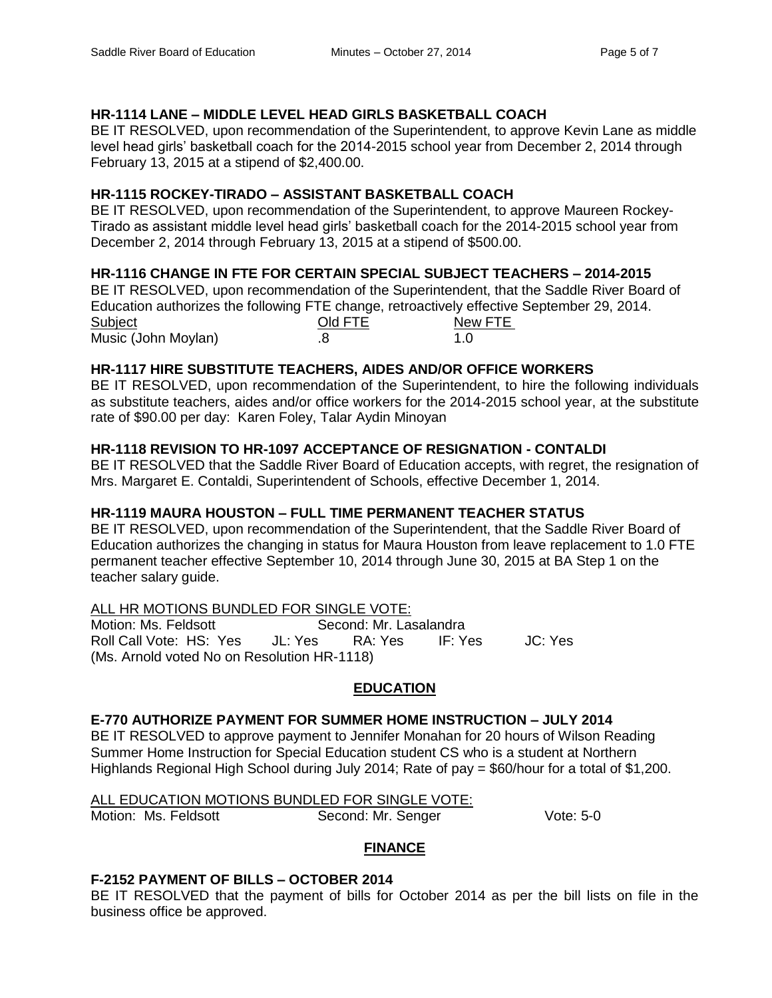# **HR-1114 LANE – MIDDLE LEVEL HEAD GIRLS BASKETBALL COACH**

BE IT RESOLVED, upon recommendation of the Superintendent, to approve Kevin Lane as middle level head girls' basketball coach for the 2014-2015 school year from December 2, 2014 through February 13, 2015 at a stipend of \$2,400.00.

# **HR-1115 ROCKEY-TIRADO – ASSISTANT BASKETBALL COACH**

BE IT RESOLVED, upon recommendation of the Superintendent, to approve Maureen Rockey-Tirado as assistant middle level head girls' basketball coach for the 2014-2015 school year from December 2, 2014 through February 13, 2015 at a stipend of \$500.00.

# **HR-1116 CHANGE IN FTE FOR CERTAIN SPECIAL SUBJECT TEACHERS – 2014-2015**

BE IT RESOLVED, upon recommendation of the Superintendent, that the Saddle River Board of Education authorizes the following FTE change, retroactively effective September 29, 2014. Subject **Old FTE** New FTE Music (John Moylan) .8 1.0

# **HR-1117 HIRE SUBSTITUTE TEACHERS, AIDES AND/OR OFFICE WORKERS**

BE IT RESOLVED, upon recommendation of the Superintendent, to hire the following individuals as substitute teachers, aides and/or office workers for the 2014-2015 school year, at the substitute rate of \$90.00 per day: Karen Foley, Talar Aydin Minoyan

# **HR-1118 REVISION TO HR-1097 ACCEPTANCE OF RESIGNATION - CONTALDI**

BE IT RESOLVED that the Saddle River Board of Education accepts, with regret, the resignation of Mrs. Margaret E. Contaldi, Superintendent of Schools, effective December 1, 2014.

# **HR-1119 MAURA HOUSTON – FULL TIME PERMANENT TEACHER STATUS**

BE IT RESOLVED, upon recommendation of the Superintendent, that the Saddle River Board of Education authorizes the changing in status for Maura Houston from leave replacement to 1.0 FTE permanent teacher effective September 10, 2014 through June 30, 2015 at BA Step 1 on the teacher salary guide.

# ALL HR MOTIONS BUNDLED FOR SINGLE VOTE:<br>Motion: Ms. Feldsott **Second: Mr. La**

Second: Mr. Lasalandra Roll Call Vote: HS: Yes JL: Yes RA: Yes IF: Yes JC: Yes (Ms. Arnold voted No on Resolution HR-1118)

# **EDUCATION**

# **E-770 AUTHORIZE PAYMENT FOR SUMMER HOME INSTRUCTION – JULY 2014**

BE IT RESOLVED to approve payment to Jennifer Monahan for 20 hours of Wilson Reading Summer Home Instruction for Special Education student CS who is a student at Northern Highlands Regional High School during July 2014; Rate of pay = \$60/hour for a total of \$1,200.

#### ALL EDUCATION MOTIONS BUNDLED FOR SINGLE VOTE:

Motion: Ms. Feldsott Second: Mr. Senger Vote: 5-0

# **FINANCE**

# **F-2152 PAYMENT OF BILLS – OCTOBER 2014**

BE IT RESOLVED that the payment of bills for October 2014 as per the bill lists on file in the business office be approved.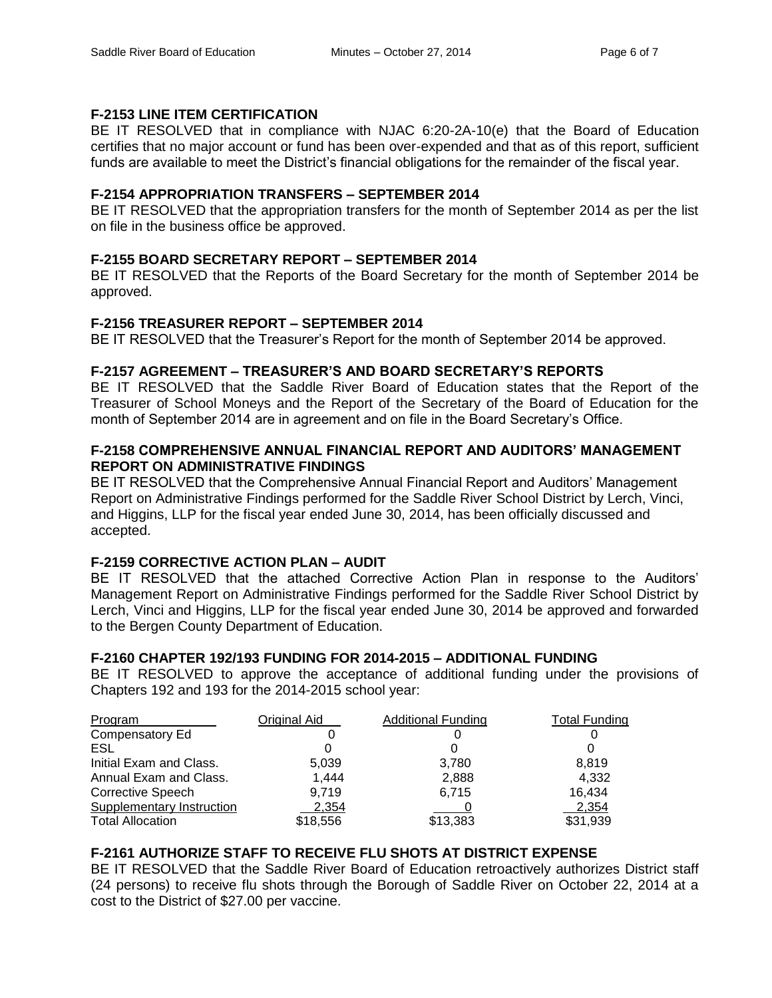# **F-2153 LINE ITEM CERTIFICATION**

BE IT RESOLVED that in compliance with NJAC 6:20-2A-10(e) that the Board of Education certifies that no major account or fund has been over-expended and that as of this report, sufficient funds are available to meet the District's financial obligations for the remainder of the fiscal year.

# **F-2154 APPROPRIATION TRANSFERS – SEPTEMBER 2014**

BE IT RESOLVED that the appropriation transfers for the month of September 2014 as per the list on file in the business office be approved.

# **F-2155 BOARD SECRETARY REPORT – SEPTEMBER 2014**

BE IT RESOLVED that the Reports of the Board Secretary for the month of September 2014 be approved.

# **F-2156 TREASURER REPORT – SEPTEMBER 2014**

BE IT RESOLVED that the Treasurer's Report for the month of September 2014 be approved.

# **F-2157 AGREEMENT – TREASURER'S AND BOARD SECRETARY'S REPORTS**

BE IT RESOLVED that the Saddle River Board of Education states that the Report of the Treasurer of School Moneys and the Report of the Secretary of the Board of Education for the month of September 2014 are in agreement and on file in the Board Secretary's Office.

# **F-2158 COMPREHENSIVE ANNUAL FINANCIAL REPORT AND AUDITORS' MANAGEMENT REPORT ON ADMINISTRATIVE FINDINGS**

BE IT RESOLVED that the Comprehensive Annual Financial Report and Auditors' Management Report on Administrative Findings performed for the Saddle River School District by Lerch, Vinci, and Higgins, LLP for the fiscal year ended June 30, 2014, has been officially discussed and accepted.

# **F-2159 CORRECTIVE ACTION PLAN – AUDIT**

BE IT RESOLVED that the attached Corrective Action Plan in response to the Auditors' Management Report on Administrative Findings performed for the Saddle River School District by Lerch, Vinci and Higgins, LLP for the fiscal year ended June 30, 2014 be approved and forwarded to the Bergen County Department of Education.

# **F-2160 CHAPTER 192/193 FUNDING FOR 2014-2015 – ADDITIONAL FUNDING**

BE IT RESOLVED to approve the acceptance of additional funding under the provisions of Chapters 192 and 193 for the 2014-2015 school year:

| Program                   | Original Aid | <b>Additional Funding</b> | <b>Total Funding</b> |
|---------------------------|--------------|---------------------------|----------------------|
| Compensatory Ed           |              |                           |                      |
| ESL                       |              |                           |                      |
| Initial Exam and Class.   | 5,039        | 3,780                     | 8.819                |
| Annual Exam and Class.    | 1,444        | 2,888                     | 4,332                |
| <b>Corrective Speech</b>  | 9,719        | 6.715                     | 16,434               |
| Supplementary Instruction | 2,354        |                           | 2,354                |
| <b>Total Allocation</b>   | \$18,556     | \$13,383                  | \$31,939             |

# **F-2161 AUTHORIZE STAFF TO RECEIVE FLU SHOTS AT DISTRICT EXPENSE**

BE IT RESOLVED that the Saddle River Board of Education retroactively authorizes District staff (24 persons) to receive flu shots through the Borough of Saddle River on October 22, 2014 at a cost to the District of \$27.00 per vaccine.